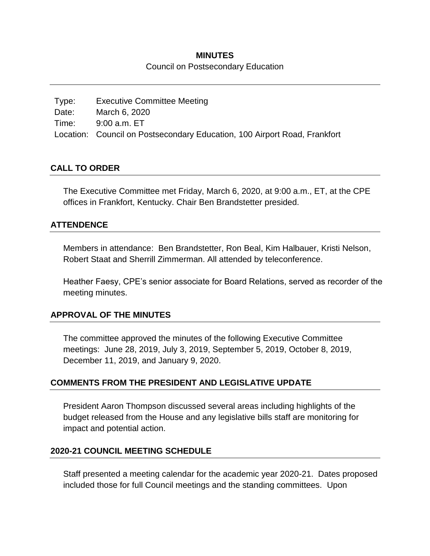#### **MINUTES**

#### Council on Postsecondary Education

Type: Executive Committee Meeting Date: March 6, 2020 Time: 9:00 a.m. ET Location: Council on Postsecondary Education, 100 Airport Road, Frankfort

#### **CALL TO ORDER**

The Executive Committee met Friday, March 6, 2020, at 9:00 a.m., ET, at the CPE offices in Frankfort, Kentucky. Chair Ben Brandstetter presided.

### **ATTENDENCE**

Members in attendance: Ben Brandstetter, Ron Beal, Kim Halbauer, Kristi Nelson, Robert Staat and Sherrill Zimmerman. All attended by teleconference.

Heather Faesy, CPE's senior associate for Board Relations, served as recorder of the meeting minutes.

#### **APPROVAL OF THE MINUTES**

The committee approved the minutes of the following Executive Committee meetings: June 28, 2019, July 3, 2019, September 5, 2019, October 8, 2019, December 11, 2019, and January 9, 2020.

## **COMMENTS FROM THE PRESIDENT AND LEGISLATIVE UPDATE**

President Aaron Thompson discussed several areas including highlights of the budget released from the House and any legislative bills staff are monitoring for impact and potential action.

#### **2020-21 COUNCIL MEETING SCHEDULE**

Staff presented a meeting calendar for the academic year 2020-21. Dates proposed included those for full Council meetings and the standing committees. Upon